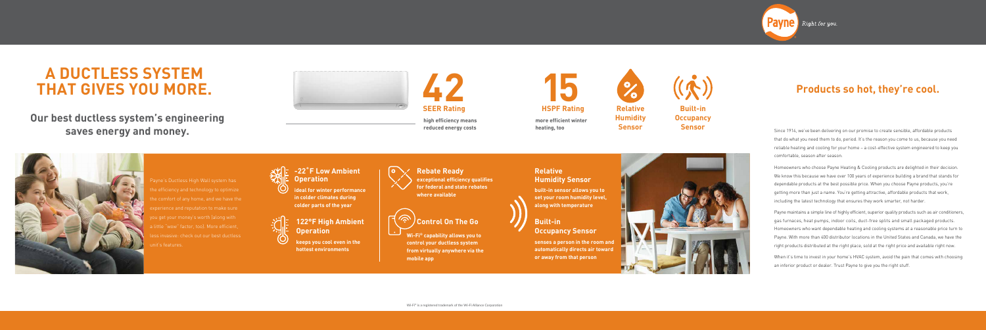# **Products so hot, they're cool.**

Payne's Ductless High Wall system has the efficiency and technology to optimize ie comfort of any home, and we have the experience and reputation to make sure you get your money's worth (along with a little "wow" factor, too). More efficient,  $\mathsf{is}$  invasive: check out our best ductless it's features.



# **Our best ductless system's engineering saves energy and money.**







# **A DUCTLESS SYSTEM THAT GIVES YOU MORE.**

Since 1914, we've been delivering on our promise to create sensible, affordable products that do what you need them to do, period. It's the reason you come to us, because you need reliable heating and cooling for your home – a cost-effective system engineered to keep you comfortable, season after season.

### **-22˚F Low Ambient Operation**

Homeowners who choose Payne Heating & Cooling products are delighted in their decision. We know this because we have over 100 years of experience building a brand that stands for dependable products at the best possible price. When you choose Payne products, you're getting more than just a name. You're getting attractive, affordable products that work, including the latest technology that ensures they work smarter, not harder.

Payne maintains a simple line of highly efficient, superior quality products such as air conditioners, gas furnaces, heat pumps, indoor coils, duct-free splits and small packaged products. Homeowners who want dependable heating and cooling systems at a reasonable price turn to Payne. With more than 400 distributor locations in the United States and Canada, we have the right products distributed at the right place, sold at the right price and available right now.

When it's time to invest in your home's HVAC system, avoid the pain that comes with choosing an inferior product or dealer. Trust Payne to give you the right stuff.

**high efficiency means reduced energy costs**

**ideal for winter performance in colder climates during colder parts of the year**



#### **Rebate Ready**

**exceptional efficiency qualifies for federal and state rebates where available**

## **Control On The Go**

**Wi-Fi® capability allows you to control your ductless system from virtually anywhere via the mobile app**

#### **Relative Humidity Sensor**

**built-in sensor allows you to set your room humidity level, along with temperature**

### **122°F High Ambient Operation**

**keeps you cool even in the hottest environments**



### **Built-in Occupancy Sensor**

**senses a person in the room and automatically directs air toward or away from that person**





**heating, too**

**Relative Humidity Sensor**